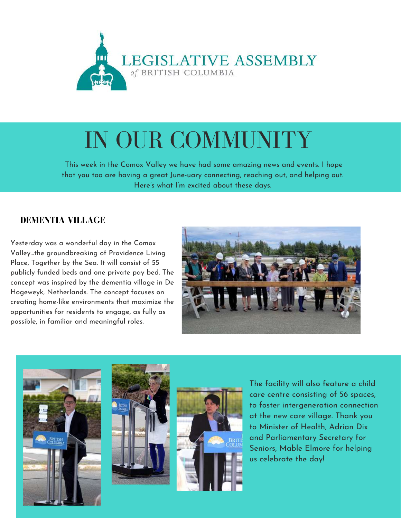

# IN OUR COMMUNITY

This week in the Comox Valley we have had some amazing news and events. I hope that you too are having a great June-uary connecting, reaching out, and helping out. Here's what I'm excited about these days.

#### **DEMENTIA VILLAGE**

Yesterday was a wonderful day in the Comox Valley...the groundbreaking of Providence Living Place, Together by the Sea. It will consist of 55 publicly funded beds and one private pay bed. The concept was inspired by the dementia village in De Hogeweyk, Netherlands. The concept focuses on creating home-like environments that maximize the opportunities for residents to engage, as fully as possible, in familiar and meaningful roles.









The facility will also feature a child care centre consisting of 56 spaces, to foster intergeneration connection at the new care village. Thank you to Minister of Health, Adrian Dix and Parliamentary Secretary for Seniors, Mable Elmore for helping us celebrate the day!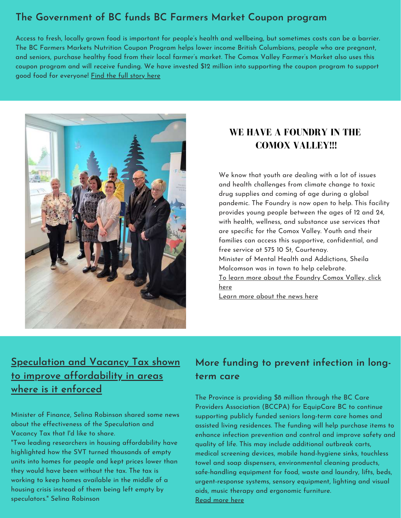### **The Government of BC funds BC Farmers Market Coupon program**

Access to fresh, locally grown food is important for people's health and wellbeing, but sometimes costs can be a barrier. The BC [Farmers](https://www.facebook.com/BCAFM/?fref=mentions&__xts__%5B0%5D=68.ARABH83cbyqDLNCLPiDfItxM6EIejVtUoyaeDC31IAMsClQfrMXVKvt2LSTpVVEetZbg-W2Ke09OAMzFB3a6-6oikYD3qI5a-171zPY7Tqn9lg8WsrJXL1i5ICgxzbRdzMcBmtUu1iSwcr4lnOgXgb1amL0o8goBJHhzNmPXIly575RjhtSfSOZs1A4hJxqB9UEuqDb6vMg4Cmzil7dssSTtYMdrL95-bAdqpEKe_5rrwzsbeGnP-p0ubNQFEsXdK42tzSUnXsSPDpK73XxN4JfPY_a62lN3aqp6pYKJOgTO39cX9as&__tn__=K-R) Markets Nutrition Coupon Program helps lower income British Columbians, people who are pregnant, and seniors, purchase healthy food from their local farmer's market. The Comox Valley Farmer's Market also uses this coupon program and will receive funding. We have invested \$12 million into supporting the coupon program to support good food for everyone! Find the full [story](https://news.gov.bc.ca/26949) here



### **WE HAVE A FOUNDRY IN THE COMOX VALLEY!!!**

We know that youth are dealing with a lot of issues and health challenges from climate change to toxic drug supplies and coming of age during a global pandemic. The Foundry is now open to help. This facility provides young people between the ages of 12 and 24, with health, wellness, and substance use services that are specific for the Comox Valley. Youth and their families can access this supportive, confidential, and free service at 575 10 St, Courtenay. Minister of Mental Health and Addictions, Sheila Malcomson was in town to help celebrate. To learn more about the [Foundry](https://foundrybc.ca/comoxvalley/) Comox Valley, click here [Learn](https://www.comoxvalleyrecord.com/news/facility-to-support-youth-struggling-with-mental-health-and-substance-use-opens-in-the-comox-valley/?fbclid=IwAR2u2Y6DFDup3eQ_vaMCwM3fSmYG2uNoV0W5_8h4XWYMbDrXFYfTOYBvZ9I) more about the news here

# **Speculation and Vacancy Tax shown to improve [affordability](https://news.gov.bc.ca/releases/2022FIN0019-000921) in areas where is it enforced**

Minister of Finance, Selina Robinson shared some news about the effectiveness of the Speculation and Vacancy Tax that I'd like to share.

"Two leading researchers in housing affordability have highlighted how the SVT turned thousands of empty units into homes for people and kept prices lower than they would have been without the tax. The tax is working to keep homes available in the middle of a housing crisis instead of them being left empty by speculators." Selina Robinson

# **More funding to prevent infection in longterm care**

The Province is providing \$8 million through the BC Care Providers Association (BCCPA) for EquipCare BC to continue supporting publicly funded seniors long-term care homes and assisted living residences. The funding will help purchase items to enhance infection prevention and control and improve safety and quality of life. This may include additional outbreak carts, medical screening devices, mobile hand-hygiene sinks, touchless towel and soap dispensers, environmental cleaning products, safe-handling equipment for food, waste and laundry, lifts, beds, urgent-response systems, sensory equipment, lighting and visual aids, music therapy and ergonomic furniture. [Read](https://news.gov.bc.ca/releases/2022HLTH0150-000915) more here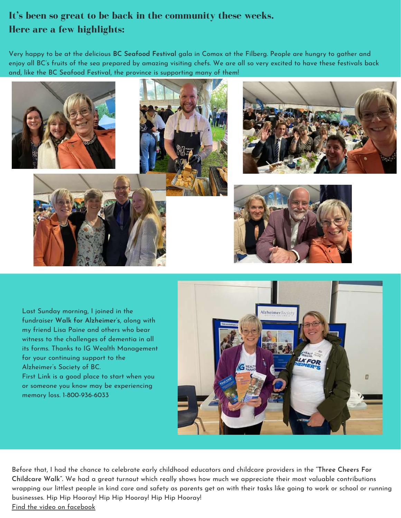## **It's been so great to be back in the community these weeks. Here are a few highlights:**

Very happy to be at the delicious **BC Seafood Festival** gala in Comox at the Filberg. People are hungry to gather and enjoy all BC's fruits of the sea prepared by amazing visiting chefs. We are all so very excited to have these festivals back and, like the BC Seafood Festival, the province is supporting many of them!



Last Sunday morning, I joined in the fundraiser **Walk for Alzheimer's**, along with my friend Lisa Paine and others who bear witness to the challenges of dementia in all its forms. Thanks to IG Wealth Management for your continuing support to the Alzheimer's Society of BC. First Link is a good place to start when you or someone you know may be experiencing memory loss. 1-800-936-6033



Before that, I had the chance to celebrate early childhood educators and childcare providers in the **"Three Cheers For Childcare Walk".** We had a great turnout which really shows how much we appreciate their most valuable contributions wrapping our littlest people in kind care and safety as parents get on with their tasks like going to work or school or running businesses. Hip Hip Hooray! Hip Hip Hooray! Hip Hip Hooray! Find the video on [facebook](https://www.facebook.com/RonnaRaeLeonard)